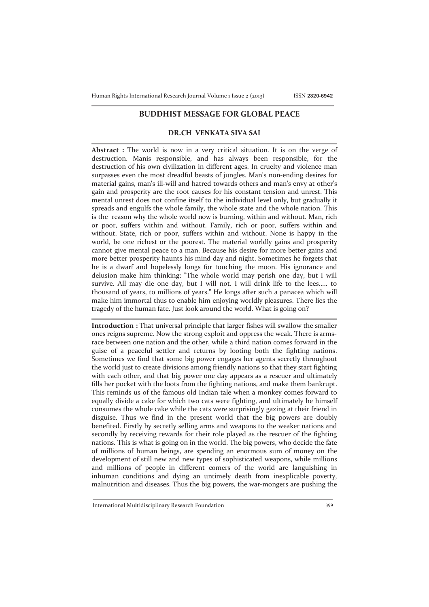## **BUDDHIST MESSAGE FOR GLOBAL PEACE**

## **DR.CH VENKATA SIVA SAI**

**Abstract :** The world is now in a very critical situation. It is on the verge of destruction. Manis responsible, and has always been responsible, for the destruction of his own civilization in different ages. In cruelty and violence man surpasses even the most dreadful beasts of jungles. Man's non-ending desires for material gains, man's ill-will and hatred towards others and man's envy at other's gain and prosperity are the root causes for his constant tension and unrest. This mental unrest does not confine itself to the individual level only, but gradually it spreads and engulfs the whole family, the whole state and the whole nation. This is the reason why the whole world now is burning, within and without. Man, rich or poor, suffers within and without. Family, rich or poor, suffers within and without. State, rich or poor, suffers within and without. None is happy in the world, be one richest or the poorest. The material worldly gains and prosperity cannot give mental peace to a man. Because his desire for more better gains and more better prosperity haunts his mind day and night. Sometimes he forgets that he is a dwarf and hopelessly longs for touching the moon. His ignorance and delusion make him thinking: "The whole world may perish one day, but I will survive. All may die one day, but I will not. I will drink life to the lees..... to thousand of years, to millions of years." He longs after such a panacea which will make him immortal thus to enable him enjoying worldly pleasures. There lies the tragedy of the human fate. Just look around the world. What is going on?

**Introduction :** That universal principle that larger fishes will swallow the smaller ones reigns supreme. Now the strong exploit and oppress the weak. There is armsrace between one nation and the other, while a third nation comes forward in the guise of a peaceful settler and returns by looting both the fighting nations. Sometimes we find that some big power engages her agents secretly throughout the world just to create divisions among friendly nations so that they start fighting with each other, and that big power one day appears as a rescuer and ultimately fills her pocket with the loots from the fighting nations, and make them bankrupt. This reminds us of the famous old Indian tale when a monkey comes forward to equally divide a cake for which two cats were fighting, and ultimately he himself consumes the whole cake while the cats were surprisingly gazing at their friend in disguise. Thus we find in the present world that the big powers are doubly benefited. Firstly by secretly selling arms and weapons to the weaker nations and secondly by receiving rewards for their role played as the rescuer of the fighting nations. This is what is going on in the world. The big powers, who decide the fate of millions of human beings, are spending an enormous sum of money on the development of still new and new types of sophisticated weapons, while millions and millions of people in different comers of the world are languishing in inhuman conditions and dying an untimely death from inexplicable poverty, malnutrition and diseases. Thus the big powers, the war-mongers are pushing the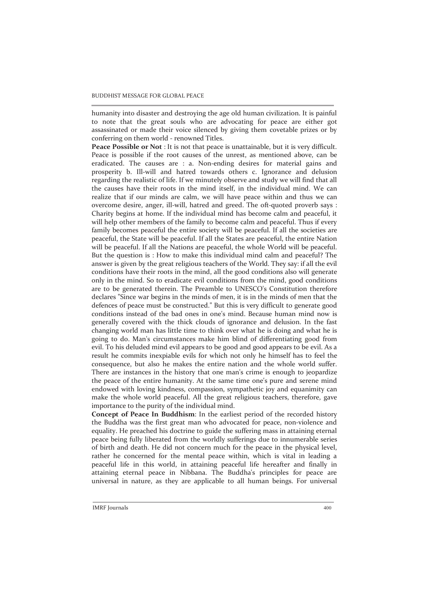humanity into disaster and destroying the age old human civilization. It is painful to note that the great souls who are advocating for peace are either got assassinated or made their voice silenced by giving them covetable prizes or by conferring on them world - renowned Titles.

**Peace Possible or Not** : It is not that peace is unattainable, but it is very difficult. Peace is possible if the root causes of the unrest, as mentioned above, can be eradicated. The causes are : a. Non-ending desires for material gains and prosperity b. Ill-will and hatred towards others c. Ignorance and delusion regarding the realistic of life. If we minutely observe and study we will find that all the causes have their roots in the mind itself, in the individual mind. We can realize that if our minds are calm, we will have peace within and thus we can overcome desire, anger, ill-will, hatred and greed. The oft-quoted proverb says : Charity begins at home. If the individual mind has become calm and peaceful, it will help other members of the family to become calm and peaceful. Thus if every family becomes peaceful the entire society will be peaceful. If all the societies are peaceful, the State will be peaceful. If all the States are peaceful, the entire Nation will be peaceful. If all the Nations are peaceful, the whole World will be peaceful. But the question is : How to make this individual mind calm and peaceful? The answer is given by the great religious teachers of the World. They say: if all the evil conditions have their roots in the mind, all the good conditions also will generate only in the mind. So to eradicate evil conditions from the mind, good conditions are to be generated therein. The Preamble to UNESCO's Constitution therefore declares "Since war begins in the minds of men, it is in the minds of men that the defences of peace must be constructed." But this is very difficult to generate good conditions instead of the bad ones in one's mind. Because human mind now is generally covered with the thick clouds of ignorance and delusion. In the fast changing world man has little time to think over what he is doing and what he is going to do. Man's circumstances make him blind of differentiating good from evil. To his deluded mind evil appears to be good and good appears to be evil. As a result he commits inexpiable evils for which not only he himself has to feel the consequence, but also he makes the entire nation and the whole world suffer. There are instances in the history that one man's crime is enough to jeopardize the peace of the entire humanity. At the same time one's pure and serene mind endowed with loving kindness, compassion, sympathetic joy and equanimity can make the whole world peaceful. All the great religious teachers, therefore, gave importance to the purity of the individual mind.

**Concept of Peace In Buddhism**: In the earliest period of the recorded history the Buddha was the first great man who advocated for peace, non-violence and equality. He preached his doctrine to guide the suffering mass in attaining eternal peace being fully liberated from the worldly sufferings due to innumerable series of birth and death. He did not concern much for the peace in the physical level, rather he concerned for the mental peace within, which is vital in leading a peaceful life in this world, in attaining peaceful life hereafter and finally in attaining eternal peace in Nibbana. The Buddha's principles for peace are universal in nature, as they are applicable to all human beings. For universal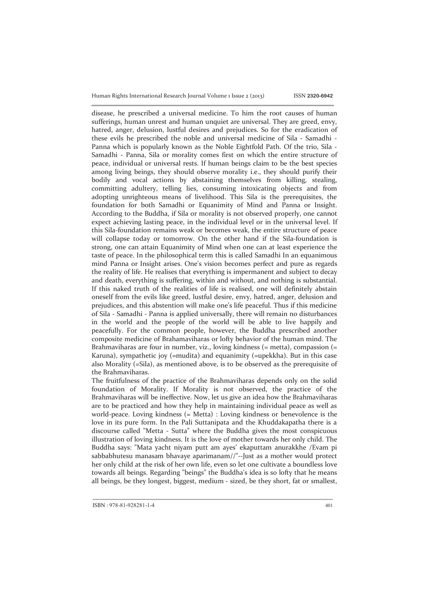disease, he prescribed a universal medicine. To him the root causes of human sufferings, human unrest and human unquiet are universal. They are greed, envy, hatred, anger, delusion, lustful desires and prejudices. So for the eradication of these evils he prescribed the noble and universal medicine of Sila - Samadhi - Panna which is popularly known as the Noble Eightfold Path. Of the trio, Sila - Samadhi - Panna, Sila or morality comes first on which the entire structure of peace, individual or universal rests. If human beings claim to be the best species among living beings, they should observe morality i.e., they should purify their bodily and vocal actions by abstaining themselves from killing, stealing, committing adultery, telling lies, consuming intoxicating objects and from adopting unrighteous means of livelihood. This Sila is the prerequisites, the foundation for both Samadhi or Equanimity of Mind and Panna or Insight. According to the Buddha, if Sila or morality is not observed properly, one cannot expect achieving lasting peace, in the individual level or in the universal level. If this Sila-foundation remains weak or becomes weak, the entire structure of peace will collapse today or tomorrow. On the other hand if the Sila-foundation is strong, one can attain Equanimity of Mind when one can at least experience the taste of peace. In the philosophical term this is called Samadhi In an equanimous mind Panna or Insight arises. One's vision becomes perfect and pure as regards the reality of life. He realises that everything is impermanent and subject to decay and death, everything is suffering, within and without, and nothing is substantial. If this naked truth of the realities of life is realised, one will definitely abstain oneself from the evils like greed, lustful desire, envy, hatred, anger, delusion and prejudices, and this abstention will make one's life peaceful. Thus if this medicine of Sila - Samadhi - Panna is applied universally, there will remain no disturbances in the world and the people of the world will be able to live happily and peacefully. For the common people, however, the Buddha prescribed another composite medicine of Brahamaviharas or lofty behavior of the human mind. The Brahmaviharas are four in number, viz., loving kindness (= metta), compassion (= Karuna), sympathetic joy (=mudita) and equanimity (=upekkha). But in this case also Morality (=Sila), as mentioned above, is to be observed as the prerequisite of the Brahmaviharas.

The fruitfulness of the practice of the Brahmaviharas depends only on the solid foundation of Morality. If Morality is not observed, the practice of the Brahmaviharas will be ineffective. Now, let us give an idea how the Brahmaviharas are to be practiced and how they help in maintaining individual peace as well as world-peace. Loving kindness (= Metta) : Loving kindness or benevolence is the love in its pure form. In the Pali Suttanipata and the Khuddakapatha there is a discourse called "Metta - Sutta" where the Buddha gives the most conspicuous illustration of loving kindness. It is the love of mother towards her only child. The Buddha says: "Mata yacht niyam putt am ayes' ekaputtam anurakkhe /Evam pi sabbabhutesu manasam bhavaye aparimanam//"--Just as a mother would protect her only child at the risk of her own life, even so let one cultivate a boundless love towards all beings. Regarding "beings" the Buddha's idea is so lofty that he means all beings, be they longest, biggest, medium - sized, be they short, fat or smallest,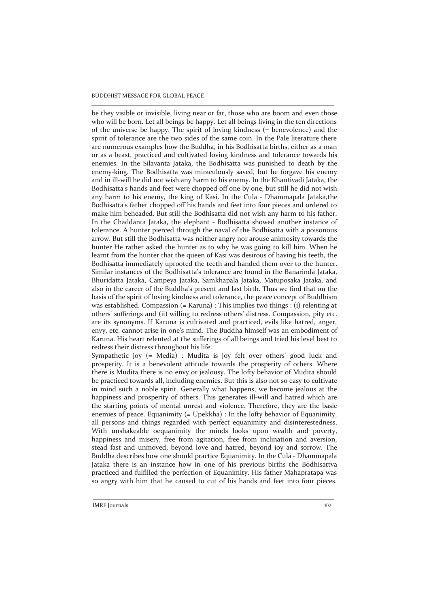be they visible or invisible, living near or far, those who are boom and even those who will be born. Let all beings be happy. Let all beings living in the ten directions of the universe be happy. The spirit of loving kindness (= benevolence) and the spirit of tolerance are the two sides of the same coin. In the Pale literature there are numerous examples how the Buddha, in his Bodhisatta births, either as a man or as a beast, practiced and cultivated loving kindness and tolerance towards his enemies. In the Silavanta Jataka, the Bodhisatta was punished to death by the enemy-king. The Bodhisatta was miraculously saved, but he forgave his enemy and in ill-will he did not wish any harm to his enemy. In the Khantivadi Jataka, the Bodhisatta's hands and feet were chopped off one by one, but still he did not wish any harm to his enemy, the king of Kasi. In the Cula - Dhammapala Jataka,the Bodhisatta's father chopped off his hands and feet into four pieces and ordered to make him beheaded. But still the Bodhisatta did not wish any harm to his father. In the Chaddanta Jataka, the elephant - Bodhisatta showed another instance of tolerance. A hunter pierced through the naval of the Bodhisatta with a poisonous arrow. But still the Bodhisatta was neither angry nor arouse animosity towards the hunter He rather asked the hunter as to why he was going to kill him. When he learnt from the hunter that the queen of Kasi was desirous of having his teeth, the Bodhisatta immediately uprooted the teeth and handed them over to the hunter. Similar instances of the Bodhisatta's tolerance are found in the Banarinda Jataka, Bhuridatta Jataka, Campeya Jataka, Samkhapala Jataka, Matuposaka Jataka, and also in the career of the Buddha's present and last birth. Thus we find that on the basis of the spirit of loving kindness and tolerance, the peace concept of Buddhism was established. Compassion (= Karuna) : This implies two things : (i) relenting at others' sufferings and (ii) willing to redress others' distress. Compassion, pity etc. are its synonyms. If Karuna is cultivated and practiced, evils like hatred, anger, envy, etc. cannot arise in one's mind. The Buddha himself was an embodiment of Karuna. His heart relented at the sufferings of all beings and tried his level best to redress their distress throughout his life.

Sympathetic joy (= Media) : Mudita is joy felt over others' good luck and prosperity. It is a benevolent attitude towards the prosperity of others. Where there is Mudita there is no envy or jealousy. The lofty behavior of Mudita should be practiced towards all, including enemies. But this is also not so easy to cultivate in mind such a noble spirit. Generally what happens, we become jealous at the happiness and prosperity of others. This generates ill-will and hatred which are the starting points of mental unrest and violence. Therefore, they are the basic enemies of peace. Equanimity (= Upekkha) : In the lofty behavior of Equanimity, all persons and things regarded with perfect equanimity and disinterestedness. With unshakeable 0equanimity the minds looks upon wealth and poverty, happiness and misery, free from agitation, free from inclination and aversion, stead fast and unmoved, beyond love and hatred, beyond joy and sorrow. The Buddha describes how one should practice Equanimity. In the Cula - Dhammapala Jataka there is an instance how in one of his previous births the Bodhisattva practiced and fulfilled the perfection of Equanimity. His father Mahapratapa was so angry with him that he caused to cut of his hands and feet into four pieces.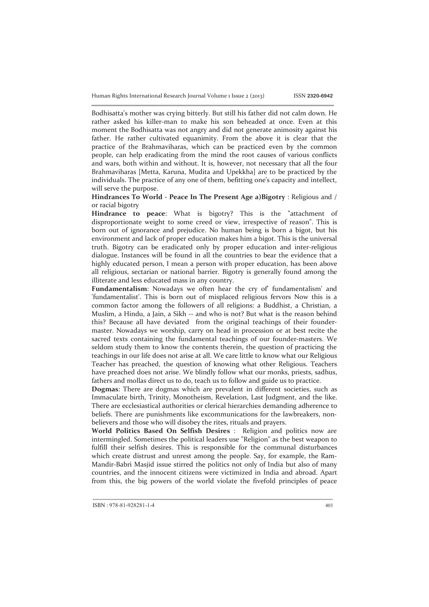Bodhisatta's mother was crying bitterly. But still his father did not calm down. He rather asked his killer-man to make his son beheaded at once. Even at this moment the Bodhisatta was not angry and did not generate animosity against his father. He rather cultivated equanimity. From the above it is clear that the practice of the Brahmaviharas, which can be practiced even by the common people, can help eradicating from the mind the root causes of various conflicts and wars, both within and without. It is, however, not necessary that all the four Brahmaviharas [Metta, Karuna, Mudita and Upekkha] are to be practiced by the individuals. The practice of any one of them, befitting one's capacity and intellect, will serve the purpose.

**Hindrances To World - Peace In The Present Age a)Bigotry** : Religious and / or racial bigotry

**Hindrance to peace**: What is bigotry? This is the "attachment of disproportionate weight to some creed or view, irrespective of reason". This is born out of ignorance and prejudice. No human being is born a bigot, but his environment and lack of proper education makes him a bigot. This is the universal truth. Bigotry can be eradicated only by proper education and inter-religious dialogue. Instances will be found in all the countries to bear the evidence that a highly educated person, I mean a person with proper education, has been above all religious, sectarian or national barrier. Bigotry is generally found among the illiterate and less educated mass in any country.

Fundamentalism: Nowadays we often hear the cry of fundamentalism' and 'fundamentalist'. This is born out of misplaced religious fervors Now this is a common factor among the followers of all religions: a Buddhist, a Christian, a Muslim, a Hindu, a Jain, a Sikh -- and who is not? But what is the reason behind this? Because all have deviated from the original teachings of their foundermaster. Nowadays we worship, carry on head in procession or at best recite the sacred texts containing the fundamental teachings of our founder-masters. We seldom study them to know the contents therein, the question of practicing the teachings in our life does not arise at all. We care little to know what our Religious Teacher has preached, the question of knowing what other Religious. Teachers have preached does not arise. We blindly follow what our monks, priests, sadhus, fathers and mollas direct us to do, teach us to follow and guide us to practice.

**Dogmas**: There are dogmas which are prevalent in different societies, such as Immaculate birth, Trinity, Monotheism, Revelation, Last Judgment, and the like. There are ecclesiastical authorities or clerical hierarchies demanding adherence to beliefs. There are punishments like excommunications for the lawbreakers, nonbelievers and those who will disobey the rites, rituals and prayers.

**World Politics Based On Selfish Desires** : Religion and politics now are intermingled. Sometimes the political leaders use "Religion" as the best weapon to fulfill their selfish desires. This is responsible for the communal disturbances which create distrust and unrest among the people. Say, for example, the Ram-Mandir-Babri Masjid issue stirred the politics not only of India but also of many countries, and the innocent citizens were victimized in India and abroad. Apart from this, the big powers of the world violate the fivefold principles of peace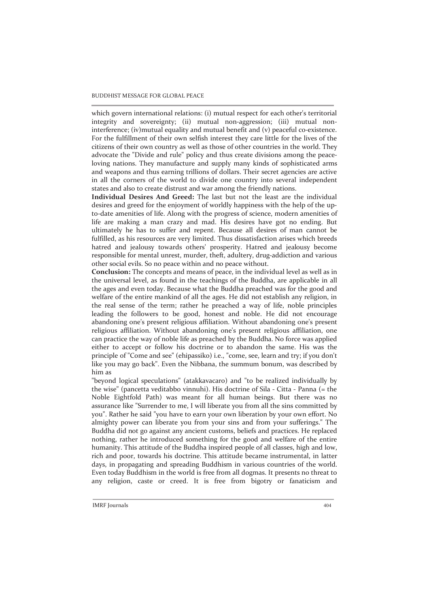which govern international relations: (i) mutual respect for each other's territorial integrity and sovereignty; (ii) mutual non-aggression; (iii) mutual noninterference; (iv)mutual equality and mutual benefit and (v) peaceful co-existence. For the fulfillment of their own selfish interest they care little for the lives of the citizens of their own country as well as those of other countries in the world. They advocate the "Divide and rule" policy and thus create divisions among the peaceloving nations. They manufacture and supply many kinds of sophisticated arms and weapons and thus earning trillions of dollars. Their secret agencies are active in all the corners of the world to divide one country into several independent states and also to create distrust and war among the friendly nations.

**Individual Desires And Greed:** The last but not the least are the individual desires and greed for the enjoyment of worldly happiness with the help of the upto-date amenities of life. Along with the progress of science, modern amenities of life are making a man crazy and mad. His desires have got no ending. But ultimately he has to suffer and repent. Because all desires of man cannot be fulfilled, as his resources are very limited. Thus dissatisfaction arises which breeds hatred and jealousy towards others' prosperity. Hatred and jealousy become responsible for mental unrest, murder, theft, adultery, drug-addiction and various other social evils. So no peace within and no peace without.

**Conclusion:** The concepts and means of peace, in the individual level as well as in the universal level, as found in the teachings of the Buddha, are applicable in all the ages and even today. Because what the Buddha preached was for the good and welfare of the entire mankind of all the ages. He did not establish any religion, in the real sense of the term; rather he preached a way of life, noble principles leading the followers to be good, honest and noble. He did not encourage abandoning one's present religious affiliation. Without abandoning one's present religious affiliation. Without abandoning one's present religious affiliation, one can practice the way of noble life as preached by the Buddha. No force was applied either to accept or follow his doctrine or to abandon the same. His was the principle of "Come and see" (ehipassiko) i.e., "come, see, learn and try; if you don't like you may go back". Even the Nibbana, the summum bonum, was described by him as

"beyond logical speculations" (atakkavacaro) and "to be realized individually by the wise" (pancetta veditabbo vinnuhi). His doctrine of Sila - Citta - Panna (= the Noble Eightfold Path) was meant for all human beings. But there was no assurance like "Surrender to me, I will liberate you from all the sins committed by you". Rather he said "you have to earn your own liberation by your own effort. No almighty power can liberate you from your sins and from your sufferings." The Buddha did not go against any ancient customs, beliefs and practices. He replaced nothing, rather he introduced something for the good and welfare of the entire humanity. This attitude of the Buddha inspired people of all classes, high and low, rich and poor, towards his doctrine. This attitude became instrumental, in latter days, in propagating and spreading Buddhism in various countries of the world. Even today Buddhism in the world is free from all dogmas. It presents no threat to any religion, caste or creed. It is free from bigotry or fanaticism and